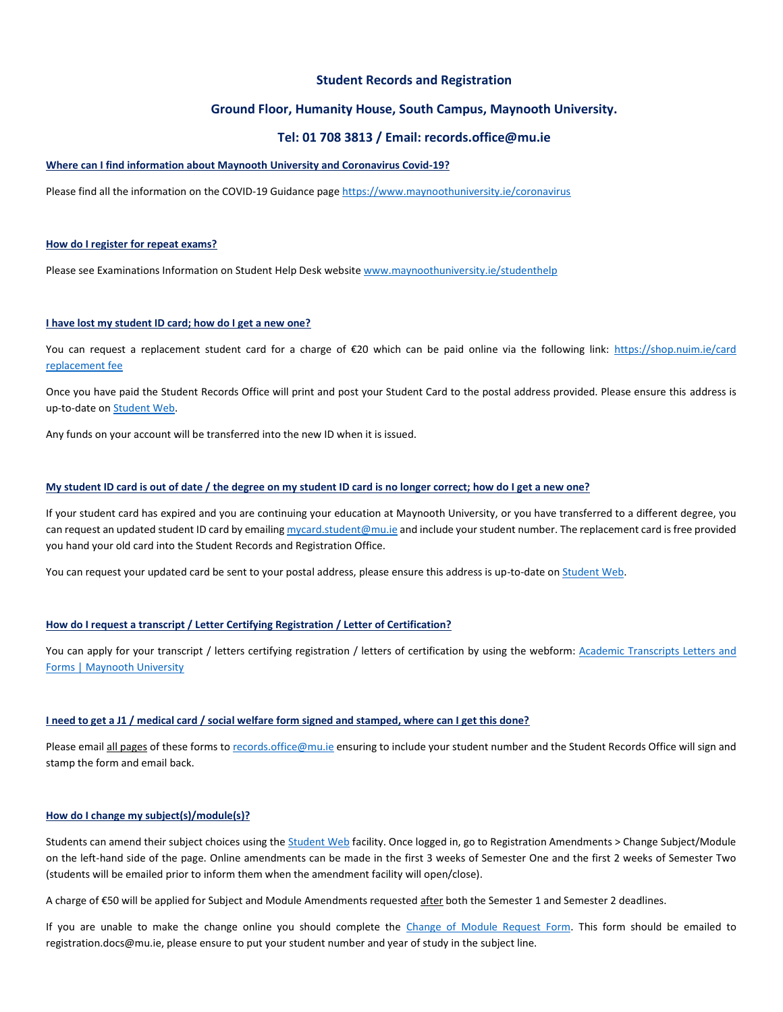# **Student Records and Registration**

# **Ground Floor, Humanity House, South Campus, Maynooth University.**

# **Tel: 01 708 3813 / Email: records.office@mu.ie**

## **Where can I find information about Maynooth University and Coronavirus Covid-19?**

Please find all the information on the COVID-19 Guidance page <https://www.maynoothuniversity.ie/coronavirus>

#### **How do I register for repeat exams?**

Please see Examinations Information on Student Help Desk websit[e www.maynoothuniversity.ie/studenthelp](http://www.maynoothuniversity.ie/studenthelp)

### **I have lost my student ID card; how do I get a new one?**

You can request a replacement student card for a charge of €20 which can be paid online via the following link: https://shop.nuim.ie/card [replacement fee](https://shop.nuim.ie/index.php?app=ecom&ns=prodshow&ref=Card_Replcmnt_Fee)

Once you have paid the Student Records Office will print and post your Student Card to the postal address provided. Please ensure this address is up-to-date on **Student Web**.

Any funds on your account will be transferred into the new ID when it is issued.

## **My student ID card is out of date / the degree on my student ID card is no longer correct; how do I get a new one?**

If your student card has expired and you are continuing your education at Maynooth University, or you have transferred to a different degree, you can request an updated student ID card by emailin[g mycard.student@mu.ie](mailto:mycard.student@mu.ie) and include your student number. The replacement card is free provided you hand your old card into the Student Records and Registration Office.

You can request your updated card be sent to your postal address, please ensure this address is up-to-date on [Student Web.](https://studentweb.nuim.ie/pls/prodi03/w99pkg.mi_startupAD)

# **How do I request a transcript / Letter Certifying Registration / Letter of Certification?**

You can apply for your transcript / letters certifying registration / letters of certification by using the webform: [Academic Transcripts Letters and](https://www.maynoothuniversity.ie/records/academic-transcripts-letters-and-forms)  [Forms | Maynooth University](https://www.maynoothuniversity.ie/records/academic-transcripts-letters-and-forms)

#### **I need to get a J1 / medical card / social welfare form signed and stamped, where can I get this done?**

Please email all pages of these forms t[o records.office@mu.ie](mailto:records.office@mu.ie) ensuring to include your student number and the Student Records Office will sign and stamp the form and email back.

# **How do I change my subject(s)/module(s)?**

Students can amend their subject choices using th[e Student Web](https://studentweb.nuim.ie/pls/prodi03/w99pkg.mi_startupAD) facility. Once logged in, go to Registration Amendments > Change Subject/Module on the left-hand side of the page. Online amendments can be made in the first 3 weeks of Semester One and the first 2 weeks of Semester Two (students will be emailed prior to inform them when the amendment facility will open/close).

A charge of €50 will be applied for Subject and Module Amendments requested after both the Semester 1 and Semester 2 deadlines.

If you are unable to make the change online you should complete the [Change of Module Request Form.](https://view.officeapps.live.com/op/view.aspx?src=https%3A%2F%2Fwww.maynoothuniversity.ie%2Fsites%2Fdefault%2Ffiles%2Fassets%2Fdocument%2F%2FChange%2520of%2520Module%2520Request%2520Form.xlsx&wdOrigin=BROWSELINK) This form should be emailed to registration.docs@mu.ie, please ensure to put your student number and year of study in the subject line.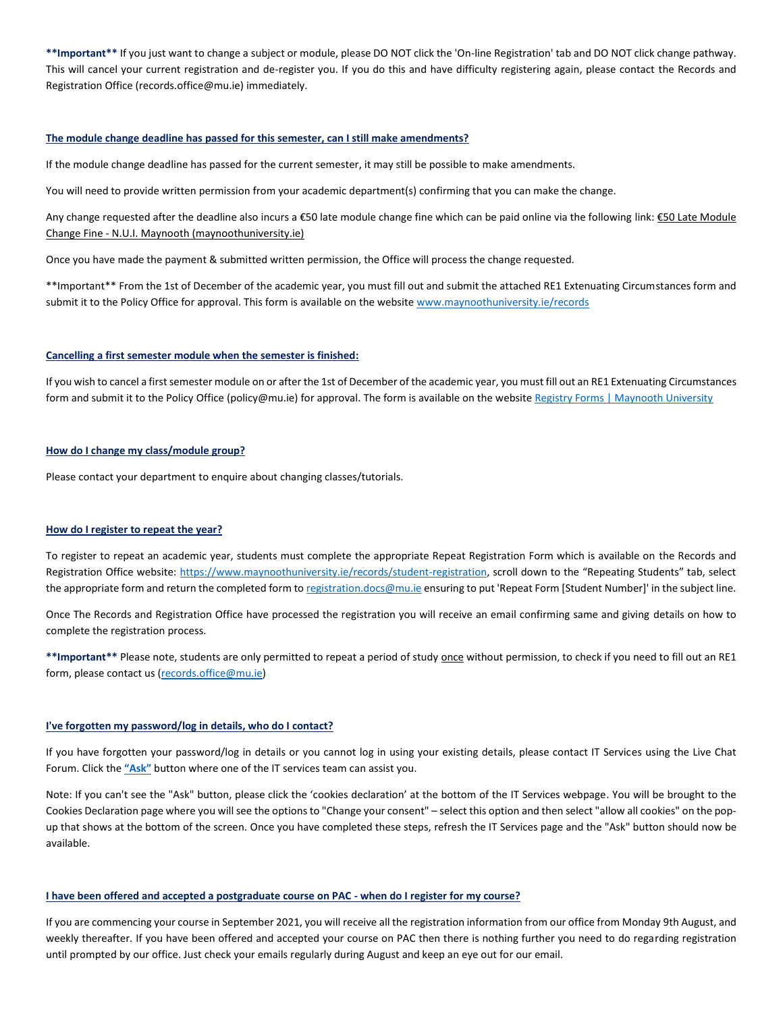**\*\*Important\*\*** If you just want to change a subject or module, please DO NOT click the 'On-line Registration' tab and DO NOT click change pathway. This will cancel your current registration and de-register you. If you do this and have difficulty registering again, please contact the Records and Registration Office (records.office@mu.ie) immediately.

### **The module change deadline has passed for this semester, can I still make amendments?**

If the module change deadline has passed for the current semester, it may still be possible to make amendments.

You will need to provide written permission from your academic department(s) confirming that you can make the change.

Any change requested after the deadline also incurs a €50 late module change fine which can be paid online via the following link: €50 Late Module Change Fine - [N.U.I. Maynooth \(maynoothuniversity.ie\)](https://shop.maynoothuniversity.ie/index.php?app=ecom&ns=prodshow&ref=Mod_Chng_Fine)

Once you have made the payment & submitted written permission, the Office will process the change requested.

\*\*Important\*\* From the 1st of December of the academic year, you must fill out and submit the attached RE1 Extenuating Circumstances form and submit it to the Policy Office for approval. This form is available on the website [www.maynoothuniversity.ie/records](http://www.maynoothuniversity.ie/records)

## **Cancelling a first semester module when the semester is finished:**

If you wish to cancel a first semester module on or after the 1st of December of the academic year, you must fill out an RE1 Extenuating Circumstances form and submit it to the Policy Office (policy@mu.ie) for approval. The form is available on the website [Registry Forms | Maynooth University](https://www.maynoothuniversity.ie/registry/registry-forms)

# **How do I change my class/module group?**

Please contact your department to enquire about changing classes/tutorials.

# **How do I register to repeat the year?**

To register to repeat an academic year, students must complete the appropriate Repeat Registration Form which is available on the Records and Registration Office website:<https://www.maynoothuniversity.ie/records/student-registration>, scroll down to the "Repeating Students" tab, select the appropriate form and return the completed form t[o registration.docs@mu.ie](mailto:registration.docs@mu.ie) ensuring to put 'Repeat Form [Student Number]' in the subject line.

Once The Records and Registration Office have processed the registration you will receive an email confirming same and giving details on how to complete the registration process.

\*\*Important\*\* Please note, students are only permitted to repeat a period of study **once** without permission, to check if you need to fill out an RE1 form, please contact us [\(records.office@mu.ie\)](mailto:records.office@mu.ie)

# **I've forgotten my password/log in details, who do I contact?**

If you have forgotten your password/log in details or you cannot log in using your existing details, please contact IT Services using the Live Chat Forum. Click the **["Ask"](https://www.maynoothuniversity.ie/it-services/students)** button where one of the IT services team can assist you.

Note: If you can't see the "Ask" button, please click the 'cookies declaration' at the bottom of the IT Services webpage. You will be brought to the Cookies Declaration page where you will see the options to "Change your consent" – select this option and then select "allow all cookies" on the popup that shows at the bottom of the screen. Once you have completed these steps, refresh the IT Services page and the "Ask" button should now be available.

#### **I have been offered and accepted a postgraduate course on PAC - when do I register for my course?**

If you are commencing your course in September 2021, you will receive all the registration information from our office from Monday 9th August, and weekly thereafter. If you have been offered and accepted your course on PAC then there is nothing further you need to do regarding registration until prompted by our office. Just check your emails regularly during August and keep an eye out for our email.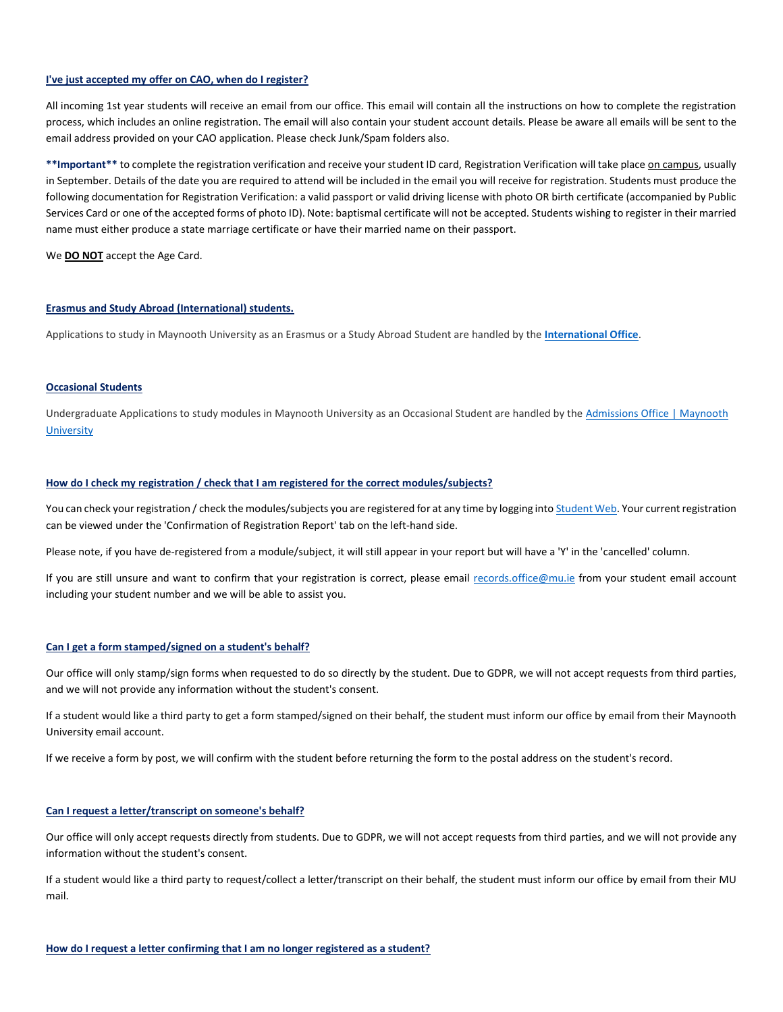### **I've just accepted my offer on CAO, when do I register?**

All incoming 1st year students will receive an email from our office. This email will contain all the instructions on how to complete the registration process, which includes an online registration. The email will also contain your student account details. Please be aware all emails will be sent to the email address provided on your CAO application. Please check Junk/Spam folders also.

\*\*Important\*\* to complete the registration verification and receive your student ID card, Registration Verification will take place on campus, usually in September. Details of the date you are required to attend will be included in the email you will receive for registration. Students must produce the following documentation for Registration Verification: a valid passport or valid driving license with photo OR birth certificate (accompanied by Public Services Card or one of the accepted forms of photo ID). Note: baptismal certificate will not be accepted. Students wishing to register in their married name must either produce a state marriage certificate or have their married name on their passport.

We **DO NOT** accept the Age Card.

## **Erasmus and Study Abroad (International) students.**

Applications to study in Maynooth University as an Erasmus or a Study Abroad Student are handled by the **[International Office](https://www.maynoothuniversity.ie/international)**.

## **Occasional Students**

Undergraduate Applications to study modules in Maynooth University as an Occasional Student are handled by the Admissions Office | Maynooth **[University](https://www.maynoothuniversity.ie/admissions-office)** 

# **How do I check my registration / check that I am registered for the correct modules/subjects?**

You can check your registration / check the modules/subjects you are registered for at any time by logging int[o Student Web.](https://studentweb.nuim.ie/pls/prodi03/w99pkg.mi_startupAD) Your current registration can be viewed under the 'Confirmation of Registration Report' tab on the left-hand side.

Please note, if you have de-registered from a module/subject, it will still appear in your report but will have a 'Y' in the 'cancelled' column.

If you are still unsure and want to confirm that your registration is correct, please email [records.office@mu.ie](mailto:records.office@mu.ie) from your student email account including your student number and we will be able to assist you.

# **Can I get a form stamped/signed on a student's behalf?**

Our office will only stamp/sign forms when requested to do so directly by the student. Due to GDPR, we will not accept requests from third parties, and we will not provide any information without the student's consent.

If a student would like a third party to get a form stamped/signed on their behalf, the student must inform our office by email from their Maynooth University email account.

If we receive a form by post, we will confirm with the student before returning the form to the postal address on the student's record.

# **Can I request a letter/transcript on someone's behalf?**

Our office will only accept requests directly from students. Due to GDPR, we will not accept requests from third parties, and we will not provide any information without the student's consent.

If a student would like a third party to request/collect a letter/transcript on their behalf, the student must inform our office by email from their MU mail.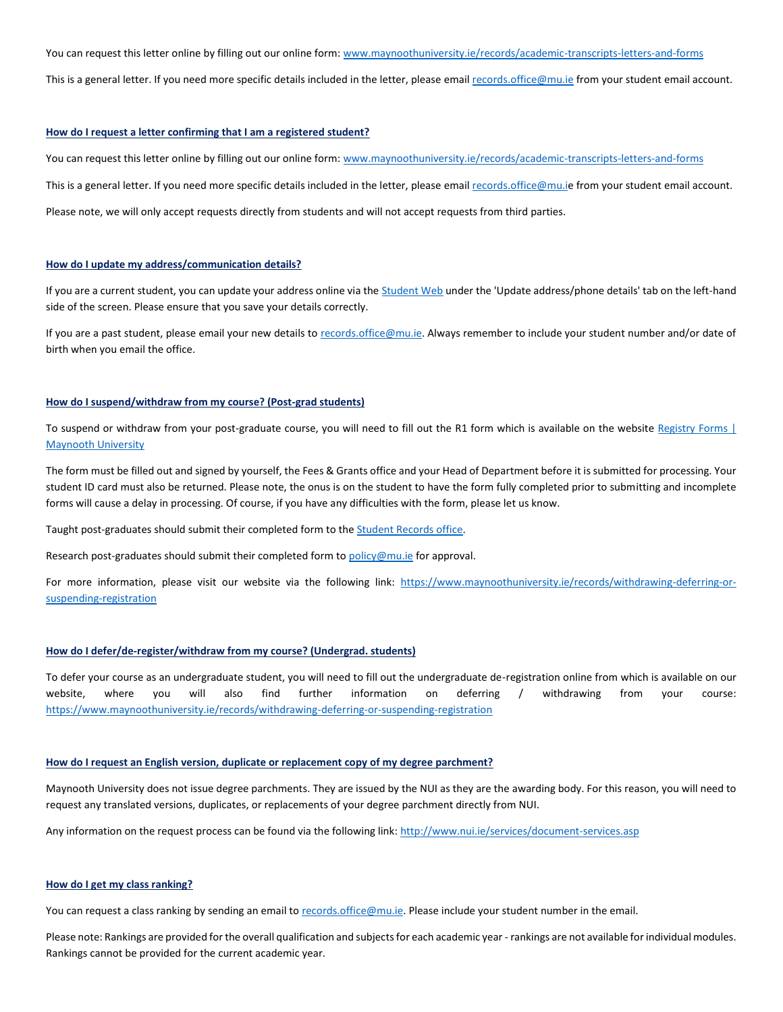You can request this letter online by filling out our online form: [www.maynoothuniversity.ie/records/academic-transcripts-letters-and-forms](https://www.maynoothuniversity.ie/records/academic-transcripts-letters-and-forms)

This is a general letter. If you need more specific details included in the letter, please email [records.office@mu.ie](mailto:records.office@mu.ie) from your student email account.

## **How do I request a letter confirming that I am a registered student?**

You can request this letter online by filling out our online form[: www.maynoothuniversity.ie/records/academic-transcripts-letters-and-forms](https://www.maynoothuniversity.ie/records/academic-transcripts-letters-and-forms)

This is a general letter. If you need more specific details included in the letter, please email [records.office@mu.ie](mailto:records.office@mu.i) from your student email account.

Please note, we will only accept requests directly from students and will not accept requests from third parties.

#### **How do I update my address/communication details?**

If you are a current student, you can update your address online via th[e Student Web](https://studentweb.nuim.ie/pls/prodi03/w99pkg.mi_startupAD) under the 'Update address/phone details' tab on the left-hand side of the screen. Please ensure that you save your details correctly.

If you are a past student, please email your new details to [records.office@mu.ie.](mailto:records.office@mu.ie) Always remember to include your student number and/or date of birth when you email the office.

## **How do I suspend/withdraw from my course? (Post-grad students)**

To suspend or withdraw from your post-graduate course, you will need to fill out the R1 form which is available on the website Registry Forms | [Maynooth University](https://www.maynoothuniversity.ie/registry/registry-forms)

The form must be filled out and signed by yourself, the Fees & Grants office and your Head of Department before it is submitted for processing. Your student ID card must also be returned. Please note, the onus is on the student to have the form fully completed prior to submitting and incomplete forms will cause a delay in processing. Of course, if you have any difficulties with the form, please let us know.

Taught post-graduates should submit their completed form to th[e Student Records office.](mailto:records.office@Mu.ie)

Research post-graduates should submit their completed form to [policy@mu.ie](mailto:policy@mu.ie) for approval.

For more information, please visit our website via the following link: [https://www.maynoothuniversity.ie/records/withdrawing-deferring-or](https://www.maynoothuniversity.ie/records/withdrawing-deferring-or-suspending-registration)[suspending-registration](https://www.maynoothuniversity.ie/records/withdrawing-deferring-or-suspending-registration)

# **How do I defer/de-register/withdraw from my course? (Undergrad. students)**

To defer your course as an undergraduate student, you will need to fill out the undergraduate de-registration online from which is available on our website, where you will also find further information on deferring / withdrawing from your course: <https://www.maynoothuniversity.ie/records/withdrawing-deferring-or-suspending-registration>

## **How do I request an English version, duplicate or replacement copy of my degree parchment?**

Maynooth University does not issue degree parchments. They are issued by the NUI as they are the awarding body. For this reason, you will need to request any translated versions, duplicates, or replacements of your degree parchment directly from NUI.

Any information on the request process can be found via the following link[: http://www.nui.ie/services/document-services.asp](http://www.nui.ie/services/document-services.asp)

# **How do I get my class ranking?**

You can request a class ranking by sending an email to [records.office@mu.ie.](mailto:records.office@mu.ie) Please include your student number in the email.

Please note: Rankings are provided for the overall qualification and subjects for each academic year - rankings are not available for individual modules. Rankings cannot be provided for the current academic year.